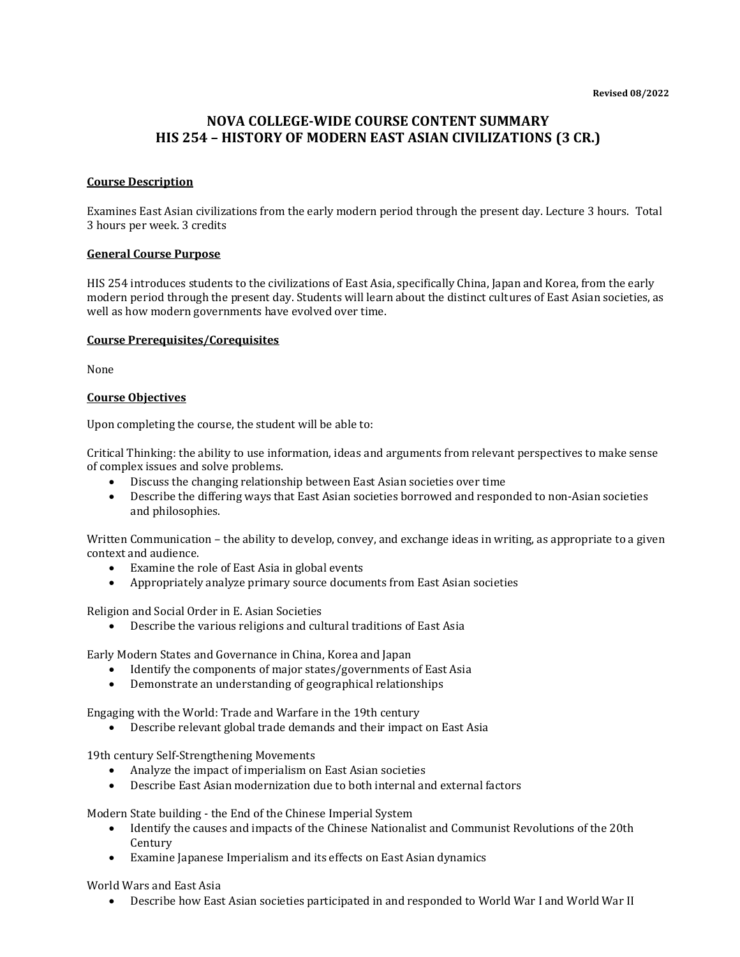# **NOVA COLLEGE-WIDE COURSE CONTENT SUMMARY HIS 254 – HISTORY OF MODERN EAST ASIAN CIVILIZATIONS (3 CR.)**

## **Course Description**

Examines East Asian civilizations from the early modern period through the present day. Lecture 3 hours. Total 3 hours per week. 3 credits

#### **General Course Purpose**

HIS 254 introduces students to the civilizations of East Asia, specifically China, Japan and Korea, from the early modern period through the present day. Students will learn about the distinct cultures of East Asian societies, as well as how modern governments have evolved over time.

#### **Course Prerequisites/Corequisites**

None

## **Course Objectives**

Upon completing the course, the student will be able to:

Critical Thinking: the ability to use information, ideas and arguments from relevant perspectives to make sense of complex issues and solve problems.

- Discuss the changing relationship between East Asian societies over time
- Describe the differing ways that East Asian societies borrowed and responded to non-Asian societies and philosophies.

Written Communication – the ability to develop, convey, and exchange ideas in writing, as appropriate to a given context and audience.

- Examine the role of East Asia in global events
- Appropriately analyze primary source documents from East Asian societies

Religion and Social Order in E. Asian Societies

• Describe the various religions and cultural traditions of East Asia

Early Modern States and Governance in China, Korea and Japan

- Identify the components of major states/governments of East Asia
- Demonstrate an understanding of geographical relationships

Engaging with the World: Trade and Warfare in the 19th century

• Describe relevant global trade demands and their impact on East Asia

19th century Self-Strengthening Movements

- Analyze the impact of imperialism on East Asian societies
- Describe East Asian modernization due to both internal and external factors

Modern State building - the End of the Chinese Imperial System

- Identify the causes and impacts of the Chinese Nationalist and Communist Revolutions of the 20th Century
- Examine Japanese Imperialism and its effects on East Asian dynamics

World Wars and East Asia

• Describe how East Asian societies participated in and responded to World War I and World War II